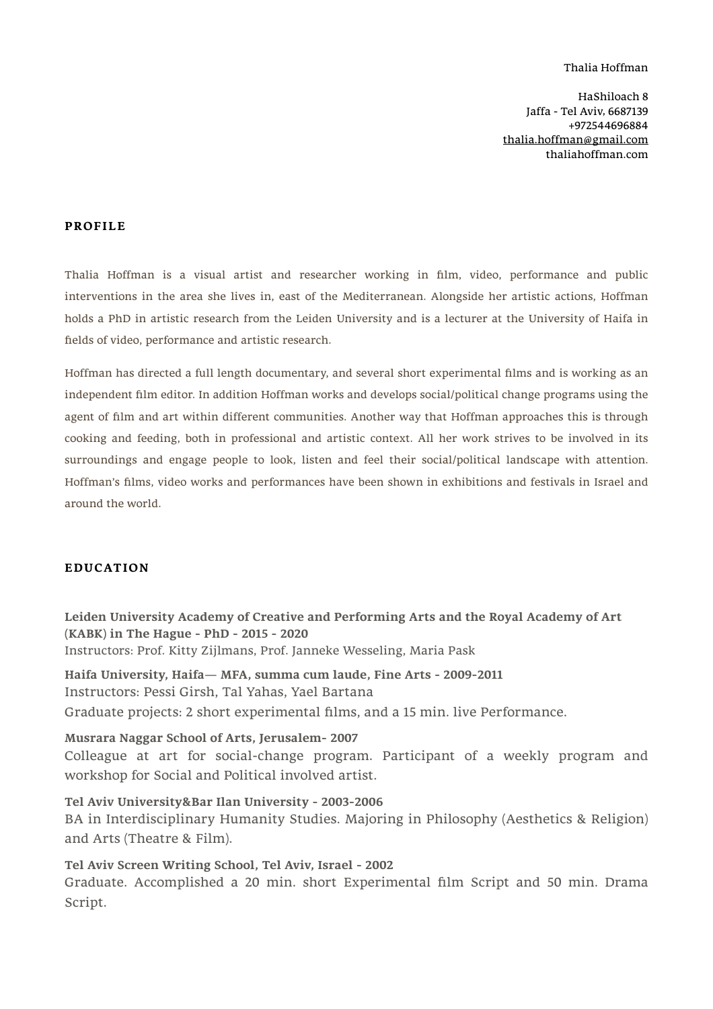#### Thalia Hoffman

HaShiloach 8 Jaffa - Tel Aviv, 6687139 +972544696884 [thalia.hoffman@gmail.com](mailto:thalia.hoffman@gmail.com) thaliahoffman.com

#### **PROFILE**

Thalia Hoffman is a visual artist and researcher working in film, video, performance and public interventions in the area she lives in, east of the Mediterranean. Alongside her artistic actions, Hoffman holds a PhD in artistic research from the Leiden University and is a lecturer at the University of Haifa in fields of video, performance and artistic research.

Hoffman has directed a full length documentary, and several short experimental films and is working as an independent film editor. In addition Hoffman works and develops social/political change programs using the agent of film and art within different communities. Another way that Hoffman approaches this is through cooking and feeding, both in professional and artistic context. All her work strives to be involved in its surroundings and engage people to look, listen and feel their social/political landscape with attention. Hoffman's films, video works and performances have been shown in exhibitions and festivals in Israel and around the world.

#### **EDUCATION**

**Leiden University Academy of Creative and Performing Arts and the Royal Academy of Art (KABK) in The Hague - PhD - 2015 - 2020** Instructors: Prof. Kitty Zijlmans, Prof. Janneke Wesseling, Maria Pask

**Haifa University, Haifa— MFA, summa cum laude, Fine Arts - 2009-2011**  Instructors: Pessi Girsh, Tal Yahas, Yael Bartana Graduate projects: 2 short experimental films, and a 15 min. live Performance.

**Musrara Naggar School of Arts, Jerusalem- 2007**  Colleague at art for social-change program. Participant of a weekly program and workshop for Social and Political involved artist.

**Tel Aviv University&Bar Ilan University - 2003-2006**  BA in Interdisciplinary Humanity Studies. Majoring in Philosophy (Aesthetics & Religion) and Arts (Theatre & Film).

**Tel Aviv Screen Writing School, Tel Aviv, Israel - 2002**  Graduate. Accomplished a 20 min. short Experimental film Script and 50 min. Drama Script.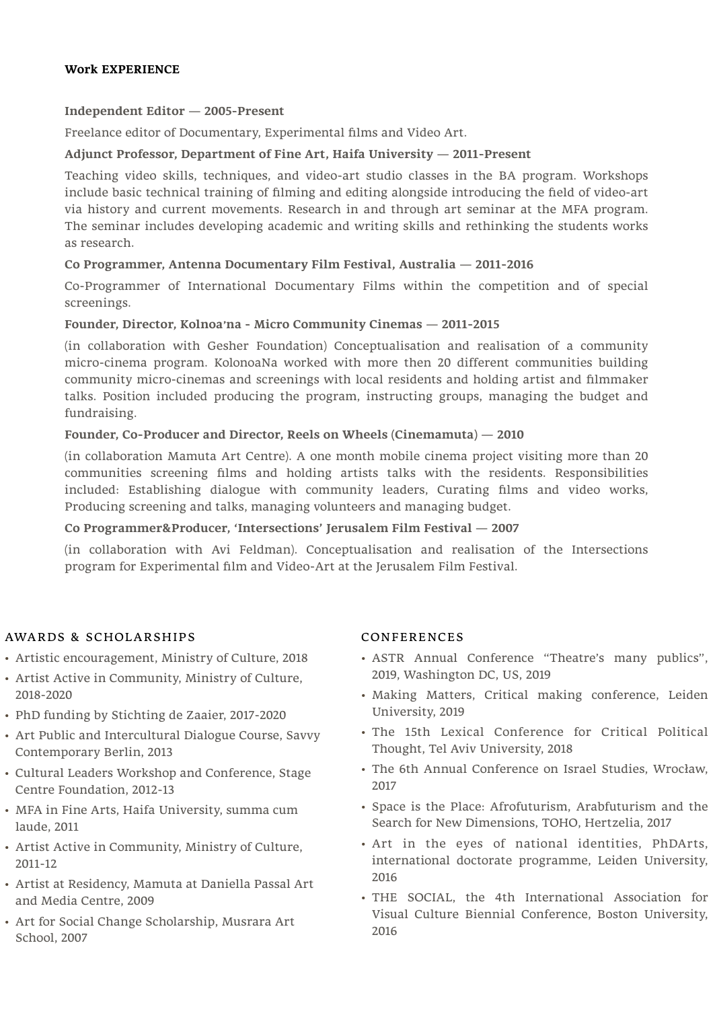### **Work EXPERIENCE**

**Independent Editor — 2005-Present** 

Freelance editor of Documentary, Experimental films and Video Art.

# **Adjunct Professor, Department of Fine Art, Haifa University — 2011-Present**

Teaching video skills, techniques, and video-art studio classes in the BA program. Workshops include basic technical training of filming and editing alongside introducing the field of video-art via history and current movements. Research in and through art seminar at the MFA program. The seminar includes developing academic and writing skills and rethinking the students works as research.

# **Co Programmer, Antenna Documentary Film Festival, Australia — 2011-2016**

Co-Programmer of International Documentary Films within the competition and of special screenings.

## **Founder, Director, Kolnoa׳na - Micro Community Cinemas — 2011-2015**

(in collaboration with Gesher Foundation) Conceptualisation and realisation of a community micro-cinema program. KolonoaNa worked with more then 20 different communities building community micro-cinemas and screenings with local residents and holding artist and filmmaker talks. Position included producing the program, instructing groups, managing the budget and fundraising.

## **Founder, Co-Producer and Director, Reels on Wheels (Cinemamuta) — 2010**

(in collaboration Mamuta Art Centre). A one month mobile cinema project visiting more than 20 communities screening films and holding artists talks with the residents. Responsibilities included: Establishing dialogue with community leaders, Curating films and video works, Producing screening and talks, managing volunteers and managing budget.

### **Co Programmer&Producer, 'Intersections' Jerusalem Film Festival — 2007**

(in collaboration with Avi Feldman). Conceptualisation and realisation of the Intersections program for Experimental film and Video-Art at the Jerusalem Film Festival.

## AWARDS & SCHOLARSHIPS

- Artistic encouragement, Ministry of Culture, 2018
- Artist Active in Community, Ministry of Culture, 2018-2020
- PhD funding by Stichting de Zaaier, 2017-2020
- Art Public and Intercultural Dialogue Course, Savvy Contemporary Berlin, 2013
- Cultural Leaders Workshop and Conference, Stage Centre Foundation, 2012-13
- MFA in Fine Arts, Haifa University, summa cum laude, 2011
- Artist Active in Community, Ministry of Culture, 2011-12
- Artist at Residency, Mamuta at Daniella Passal Art and Media Centre, 2009
- Art for Social Change Scholarship, Musrara Art School, 2007

#### CONFERENCES

- ASTR Annual Conference "Theatre's many publics", 2019, Washington DC, US, 2019
- Making Matters, Critical making conference, Leiden University, 2019
- The 15th Lexical Conference for Critical Political Thought, Tel Aviv University, 2018
- The 6th Annual Conference on Israel Studies, Wrocław, 2017
- Space is the Place: Afrofuturism, Arabfuturism and the Search for New Dimensions, TOHO, Hertzelia, 2017
- Art in the eyes of national identities, PhDArts, international doctorate programme, Leiden University, 2016
- THE SOCIAL, the 4th International Association for Visual Culture Biennial Conference, Boston University, 2016